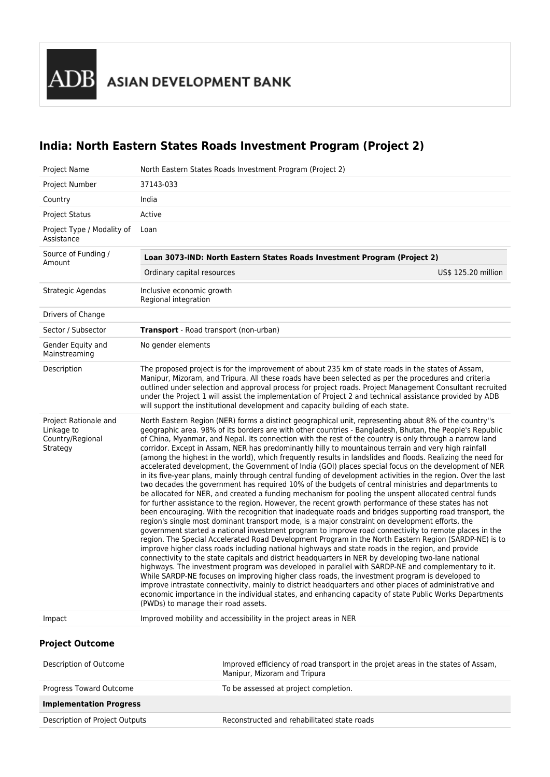**ASIAN DEVELOPMENT BANK** 

# **India: North Eastern States Roads Investment Program (Project 2)**

| Project Name                                                        | North Eastern States Roads Investment Program (Project 2)                                                                                                                                                                                                                                                                                                                                                                                                                                                                                                                                                                                                                                                                                                                                                                                                                                                                                                                                                                                                                                                                                                                                                                                                                                                                                                                                                                                                                                                                                                                                                                                                                                                                                                                                                                                                                                                                                                                                                                                                                                                                                                                                                            |
|---------------------------------------------------------------------|----------------------------------------------------------------------------------------------------------------------------------------------------------------------------------------------------------------------------------------------------------------------------------------------------------------------------------------------------------------------------------------------------------------------------------------------------------------------------------------------------------------------------------------------------------------------------------------------------------------------------------------------------------------------------------------------------------------------------------------------------------------------------------------------------------------------------------------------------------------------------------------------------------------------------------------------------------------------------------------------------------------------------------------------------------------------------------------------------------------------------------------------------------------------------------------------------------------------------------------------------------------------------------------------------------------------------------------------------------------------------------------------------------------------------------------------------------------------------------------------------------------------------------------------------------------------------------------------------------------------------------------------------------------------------------------------------------------------------------------------------------------------------------------------------------------------------------------------------------------------------------------------------------------------------------------------------------------------------------------------------------------------------------------------------------------------------------------------------------------------------------------------------------------------------------------------------------------------|
| Project Number                                                      | 37143-033                                                                                                                                                                                                                                                                                                                                                                                                                                                                                                                                                                                                                                                                                                                                                                                                                                                                                                                                                                                                                                                                                                                                                                                                                                                                                                                                                                                                                                                                                                                                                                                                                                                                                                                                                                                                                                                                                                                                                                                                                                                                                                                                                                                                            |
| Country                                                             | India                                                                                                                                                                                                                                                                                                                                                                                                                                                                                                                                                                                                                                                                                                                                                                                                                                                                                                                                                                                                                                                                                                                                                                                                                                                                                                                                                                                                                                                                                                                                                                                                                                                                                                                                                                                                                                                                                                                                                                                                                                                                                                                                                                                                                |
| <b>Project Status</b>                                               | Active                                                                                                                                                                                                                                                                                                                                                                                                                                                                                                                                                                                                                                                                                                                                                                                                                                                                                                                                                                                                                                                                                                                                                                                                                                                                                                                                                                                                                                                                                                                                                                                                                                                                                                                                                                                                                                                                                                                                                                                                                                                                                                                                                                                                               |
| Project Type / Modality of<br>Assistance                            | Loan                                                                                                                                                                                                                                                                                                                                                                                                                                                                                                                                                                                                                                                                                                                                                                                                                                                                                                                                                                                                                                                                                                                                                                                                                                                                                                                                                                                                                                                                                                                                                                                                                                                                                                                                                                                                                                                                                                                                                                                                                                                                                                                                                                                                                 |
| Source of Funding /                                                 | Loan 3073-IND: North Eastern States Roads Investment Program (Project 2)                                                                                                                                                                                                                                                                                                                                                                                                                                                                                                                                                                                                                                                                                                                                                                                                                                                                                                                                                                                                                                                                                                                                                                                                                                                                                                                                                                                                                                                                                                                                                                                                                                                                                                                                                                                                                                                                                                                                                                                                                                                                                                                                             |
| Amount                                                              | Ordinary capital resources<br>US\$ 125.20 million                                                                                                                                                                                                                                                                                                                                                                                                                                                                                                                                                                                                                                                                                                                                                                                                                                                                                                                                                                                                                                                                                                                                                                                                                                                                                                                                                                                                                                                                                                                                                                                                                                                                                                                                                                                                                                                                                                                                                                                                                                                                                                                                                                    |
| Strategic Agendas                                                   | Inclusive economic growth<br>Regional integration                                                                                                                                                                                                                                                                                                                                                                                                                                                                                                                                                                                                                                                                                                                                                                                                                                                                                                                                                                                                                                                                                                                                                                                                                                                                                                                                                                                                                                                                                                                                                                                                                                                                                                                                                                                                                                                                                                                                                                                                                                                                                                                                                                    |
| Drivers of Change                                                   |                                                                                                                                                                                                                                                                                                                                                                                                                                                                                                                                                                                                                                                                                                                                                                                                                                                                                                                                                                                                                                                                                                                                                                                                                                                                                                                                                                                                                                                                                                                                                                                                                                                                                                                                                                                                                                                                                                                                                                                                                                                                                                                                                                                                                      |
| Sector / Subsector                                                  | <b>Transport</b> - Road transport (non-urban)                                                                                                                                                                                                                                                                                                                                                                                                                                                                                                                                                                                                                                                                                                                                                                                                                                                                                                                                                                                                                                                                                                                                                                                                                                                                                                                                                                                                                                                                                                                                                                                                                                                                                                                                                                                                                                                                                                                                                                                                                                                                                                                                                                        |
| Gender Equity and<br>Mainstreaming                                  | No gender elements                                                                                                                                                                                                                                                                                                                                                                                                                                                                                                                                                                                                                                                                                                                                                                                                                                                                                                                                                                                                                                                                                                                                                                                                                                                                                                                                                                                                                                                                                                                                                                                                                                                                                                                                                                                                                                                                                                                                                                                                                                                                                                                                                                                                   |
| Description                                                         | The proposed project is for the improvement of about 235 km of state roads in the states of Assam,<br>Manipur, Mizoram, and Tripura. All these roads have been selected as per the procedures and criteria<br>outlined under selection and approval process for project roads. Project Management Consultant recruited<br>under the Project 1 will assist the implementation of Project 2 and technical assistance provided by ADB<br>will support the institutional development and capacity building of each state.                                                                                                                                                                                                                                                                                                                                                                                                                                                                                                                                                                                                                                                                                                                                                                                                                                                                                                                                                                                                                                                                                                                                                                                                                                                                                                                                                                                                                                                                                                                                                                                                                                                                                                |
| Project Rationale and<br>Linkage to<br>Country/Regional<br>Strategy | North Eastern Region (NER) forms a distinct geographical unit, representing about 8% of the country"s<br>geographic area. 98% of its borders are with other countries - Bangladesh, Bhutan, the People's Republic<br>of China, Myanmar, and Nepal. Its connection with the rest of the country is only through a narrow land<br>corridor. Except in Assam, NER has predominantly hilly to mountainous terrain and very high rainfall<br>(among the highest in the world), which frequently results in landslides and floods. Realizing the need for<br>accelerated development, the Government of India (GOI) places special focus on the development of NER<br>in its five-year plans, mainly through central funding of development activities in the region. Over the last<br>two decades the government has required 10% of the budgets of central ministries and departments to<br>be allocated for NER, and created a funding mechanism for pooling the unspent allocated central funds<br>for further assistance to the region. However, the recent growth performance of these states has not<br>been encouraging. With the recognition that inadequate roads and bridges supporting road transport, the<br>region's single most dominant transport mode, is a major constraint on development efforts, the<br>government started a national investment program to improve road connectivity to remote places in the<br>region. The Special Accelerated Road Development Program in the North Eastern Region (SARDP-NE) is to<br>improve higher class roads including national highways and state roads in the region, and provide<br>connectivity to the state capitals and district headquarters in NER by developing two-lane national<br>highways. The investment program was developed in parallel with SARDP-NE and complementary to it.<br>While SARDP-NE focuses on improving higher class roads, the investment program is developed to<br>improve intrastate connectivity, mainly to district headquarters and other places of administrative and<br>economic importance in the individual states, and enhancing capacity of state Public Works Departments<br>(PWDs) to manage their road assets. |
| Impact                                                              | Improved mobility and accessibility in the project areas in NER                                                                                                                                                                                                                                                                                                                                                                                                                                                                                                                                                                                                                                                                                                                                                                                                                                                                                                                                                                                                                                                                                                                                                                                                                                                                                                                                                                                                                                                                                                                                                                                                                                                                                                                                                                                                                                                                                                                                                                                                                                                                                                                                                      |
| <b>Project Outcome</b>                                              |                                                                                                                                                                                                                                                                                                                                                                                                                                                                                                                                                                                                                                                                                                                                                                                                                                                                                                                                                                                                                                                                                                                                                                                                                                                                                                                                                                                                                                                                                                                                                                                                                                                                                                                                                                                                                                                                                                                                                                                                                                                                                                                                                                                                                      |
| Description of Outcome                                              | Improved efficiency of road transport in the projet areas in the states of Assam,<br>Manipur, Mizoram and Tripura                                                                                                                                                                                                                                                                                                                                                                                                                                                                                                                                                                                                                                                                                                                                                                                                                                                                                                                                                                                                                                                                                                                                                                                                                                                                                                                                                                                                                                                                                                                                                                                                                                                                                                                                                                                                                                                                                                                                                                                                                                                                                                    |
| Progress Toward Outcome                                             | To be assessed at project completion.                                                                                                                                                                                                                                                                                                                                                                                                                                                                                                                                                                                                                                                                                                                                                                                                                                                                                                                                                                                                                                                                                                                                                                                                                                                                                                                                                                                                                                                                                                                                                                                                                                                                                                                                                                                                                                                                                                                                                                                                                                                                                                                                                                                |
| <b>Implementation Progress</b>                                      |                                                                                                                                                                                                                                                                                                                                                                                                                                                                                                                                                                                                                                                                                                                                                                                                                                                                                                                                                                                                                                                                                                                                                                                                                                                                                                                                                                                                                                                                                                                                                                                                                                                                                                                                                                                                                                                                                                                                                                                                                                                                                                                                                                                                                      |

Description of Project Outputs **Reconstructed and rehabilitated state roads**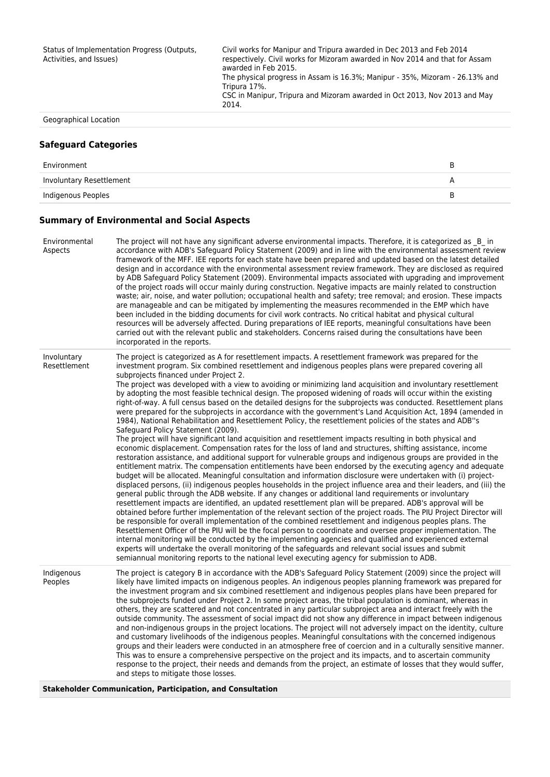Civil works for Manipur and Tripura awarded in Dec 2013 and Feb 2014 respectively. Civil works for Mizoram awarded in Nov 2014 and that for Assam awarded in Feb 2015.

The physical progress in Assam is 16.3%; Manipur - 35%, Mizoram - 26.13% and Tripura 17%.

CSC in Manipur, Tripura and Mizoram awarded in Oct 2013, Nov 2013 and May 2014.

Geographical Location

#### **Safeguard Categories**

| Environment              |  |
|--------------------------|--|
| Involuntary Resettlement |  |
| Indigenous Peoples       |  |

### **Summary of Environmental and Social Aspects**

| Environmental<br>Aspects    | The project will not have any significant adverse environmental impacts. Therefore, it is categorized as B in<br>accordance with ADB's Safeguard Policy Statement (2009) and in line with the environmental assessment review<br>framework of the MFF. IEE reports for each state have been prepared and updated based on the latest detailed<br>design and in accordance with the environmental assessment review framework. They are disclosed as required<br>by ADB Safeguard Policy Statement (2009). Environmental impacts associated with upgrading and improvement<br>of the project roads will occur mainly during construction. Negative impacts are mainly related to construction<br>waste; air, noise, and water pollution; occupational health and safety; tree removal; and erosion. These impacts<br>are manageable and can be mitigated by implementing the measures recommended in the EMP which have<br>been included in the bidding documents for civil work contracts. No critical habitat and physical cultural<br>resources will be adversely affected. During preparations of IEE reports, meaningful consultations have been<br>carried out with the relevant public and stakeholders. Concerns raised during the consultations have been<br>incorporated in the reports.                                                                                                                                                                                                                                                                                                                                                                                                                                                                                                                                                                                                                                                                                                                                                                                                                                                                                                                                                                                                                                                                                                                                                                                     |
|-----------------------------|---------------------------------------------------------------------------------------------------------------------------------------------------------------------------------------------------------------------------------------------------------------------------------------------------------------------------------------------------------------------------------------------------------------------------------------------------------------------------------------------------------------------------------------------------------------------------------------------------------------------------------------------------------------------------------------------------------------------------------------------------------------------------------------------------------------------------------------------------------------------------------------------------------------------------------------------------------------------------------------------------------------------------------------------------------------------------------------------------------------------------------------------------------------------------------------------------------------------------------------------------------------------------------------------------------------------------------------------------------------------------------------------------------------------------------------------------------------------------------------------------------------------------------------------------------------------------------------------------------------------------------------------------------------------------------------------------------------------------------------------------------------------------------------------------------------------------------------------------------------------------------------------------------------------------------------------------------------------------------------------------------------------------------------------------------------------------------------------------------------------------------------------------------------------------------------------------------------------------------------------------------------------------------------------------------------------------------------------------------------------------------------------------------------------------------------------------------------------------------------|
| Involuntary<br>Resettlement | The project is categorized as A for resettlement impacts. A resettlement framework was prepared for the<br>investment program. Six combined resettlement and indigenous peoples plans were prepared covering all<br>subprojects financed under Project 2.<br>The project was developed with a view to avoiding or minimizing land acquisition and involuntary resettlement<br>by adopting the most feasible technical design. The proposed widening of roads will occur within the existing<br>right-of-way. A full census based on the detailed designs for the subprojects was conducted. Resettlement plans<br>were prepared for the subprojects in accordance with the government's Land Acquisition Act, 1894 (amended in<br>1984), National Rehabilitation and Resettlement Policy, the resettlement policies of the states and ADB"s<br>Safeguard Policy Statement (2009).<br>The project will have significant land acquisition and resettlement impacts resulting in both physical and<br>economic displacement. Compensation rates for the loss of land and structures, shifting assistance, income<br>restoration assistance, and additional support for vulnerable groups and indigenous groups are provided in the<br>entitlement matrix. The compensation entitlements have been endorsed by the executing agency and adequate<br>budget will be allocated. Meaningful consultation and information disclosure were undertaken with (i) project-<br>displaced persons, (ii) indigenous peoples households in the project influence area and their leaders, and (iii) the<br>general public through the ADB website. If any changes or additional land requirements or involuntary<br>resettlement impacts are identified, an updated resettlement plan will be prepared. ADB's approval will be<br>obtained before further implementation of the relevant section of the project roads. The PIU Project Director will<br>be responsible for overall implementation of the combined resettlement and indigenous peoples plans. The<br>Resettlement Officer of the PIU will be the focal person to coordinate and oversee proper implementation. The<br>internal monitoring will be conducted by the implementing agencies and qualified and experienced external<br>experts will undertake the overall monitoring of the safeguards and relevant social issues and submit<br>semiannual monitoring reports to the national level executing agency for submission to ADB. |
| Indigenous<br>Peoples       | The project is category B in accordance with the ADB's Safeguard Policy Statement (2009) since the project will<br>likely have limited impacts on indigenous peoples. An indigenous peoples planning framework was prepared for<br>the investment program and six combined resettlement and indigenous peoples plans have been prepared for<br>the subprojects funded under Project 2. In some project areas, the tribal population is dominant, whereas in<br>others, they are scattered and not concentrated in any particular subproject area and interact freely with the<br>outside community. The assessment of social impact did not show any difference in impact between indigenous<br>and non-indigenous groups in the project locations. The project will not adversely impact on the identity, culture<br>and customary livelihoods of the indigenous peoples. Meaningful consultations with the concerned indigenous<br>groups and their leaders were conducted in an atmosphere free of coercion and in a culturally sensitive manner.<br>This was to ensure a comprehensive perspective on the project and its impacts, and to ascertain community<br>response to the project, their needs and demands from the project, an estimate of losses that they would suffer,<br>and steps to mitigate those losses.                                                                                                                                                                                                                                                                                                                                                                                                                                                                                                                                                                                                                                                                                                                                                                                                                                                                                                                                                                                                                                                                                                                                                          |
|                             |                                                                                                                                                                                                                                                                                                                                                                                                                                                                                                                                                                                                                                                                                                                                                                                                                                                                                                                                                                                                                                                                                                                                                                                                                                                                                                                                                                                                                                                                                                                                                                                                                                                                                                                                                                                                                                                                                                                                                                                                                                                                                                                                                                                                                                                                                                                                                                                                                                                                                       |

**Stakeholder Communication, Participation, and Consultation**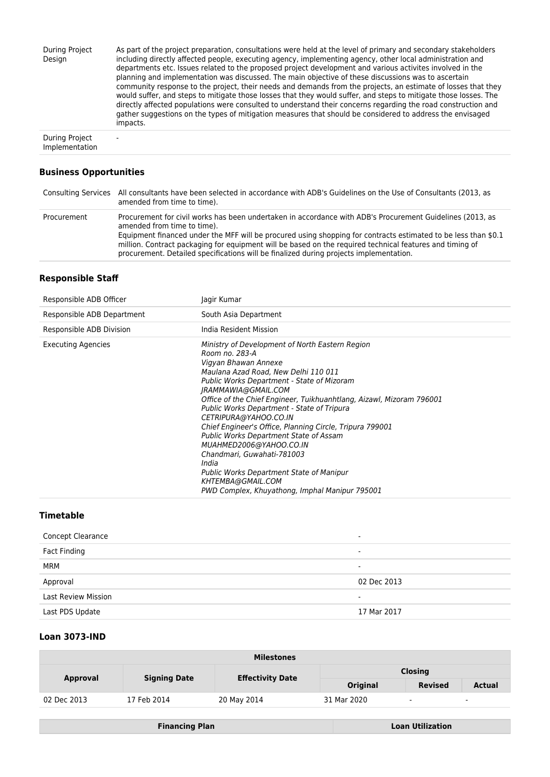| During Project<br>Design | As part of the project preparation, consultations were held at the level of primary and secondary stakeholders<br>including directly affected people, executing agency, implementing agency, other local administration and<br>departments etc. Issues related to the proposed project development and various activites involved in the<br>planning and implementation was discussed. The main objective of these discussions was to ascertain<br>community response to the project, their needs and demands from the projects, an estimate of losses that they<br>would suffer, and steps to mitigate those losses that they would suffer, and steps to mitigate those losses. The<br>directly affected populations were consulted to understand their concerns regarding the road construction and<br>gather suggestions on the types of mitigation measures that should be considered to address the envisaged<br>impacts. |
|--------------------------|--------------------------------------------------------------------------------------------------------------------------------------------------------------------------------------------------------------------------------------------------------------------------------------------------------------------------------------------------------------------------------------------------------------------------------------------------------------------------------------------------------------------------------------------------------------------------------------------------------------------------------------------------------------------------------------------------------------------------------------------------------------------------------------------------------------------------------------------------------------------------------------------------------------------------------|
|                          |                                                                                                                                                                                                                                                                                                                                                                                                                                                                                                                                                                                                                                                                                                                                                                                                                                                                                                                                |

During Project Implementation -

# **Business Opportunities**

|             | Consulting Services All consultants have been selected in accordance with ADB's Guidelines on the Use of Consultants (2013, as<br>amended from time to time).                                                                                                                                                                                                                                                                                                    |
|-------------|------------------------------------------------------------------------------------------------------------------------------------------------------------------------------------------------------------------------------------------------------------------------------------------------------------------------------------------------------------------------------------------------------------------------------------------------------------------|
| Procurement | Procurement for civil works has been undertaken in accordance with ADB's Procurement Guidelines (2013, as<br>amended from time to time).<br>Equipment financed under the MFF will be procured using shopping for contracts estimated to be less than \$0.1<br>million. Contract packaging for equipment will be based on the required technical features and timing of<br>procurement. Detailed specifications will be finalized during projects implementation. |

## **Responsible Staff**

| Responsible ADB Officer    | Jagir Kumar                                                                                                                                                                                                                                                                                                                                                                                                                                                                                                                                                                                                                                                    |
|----------------------------|----------------------------------------------------------------------------------------------------------------------------------------------------------------------------------------------------------------------------------------------------------------------------------------------------------------------------------------------------------------------------------------------------------------------------------------------------------------------------------------------------------------------------------------------------------------------------------------------------------------------------------------------------------------|
| Responsible ADB Department | South Asia Department                                                                                                                                                                                                                                                                                                                                                                                                                                                                                                                                                                                                                                          |
| Responsible ADB Division   | India Resident Mission                                                                                                                                                                                                                                                                                                                                                                                                                                                                                                                                                                                                                                         |
| <b>Executing Agencies</b>  | Ministry of Development of North Eastern Region<br>Room no. 283-A<br>Vigyan Bhawan Annexe<br>Maulana Azad Road, New Delhi 110 011<br>Public Works Department - State of Mizoram<br>IRAMMAWIA@GMAIL.COM<br>Office of the Chief Engineer, Tuikhuanhtlang, Aizawl, Mizoram 796001<br><b>Public Works Department - State of Tripura</b><br>CETRIPURA@YAHOO.CO.IN<br>Chief Engineer's Office, Planning Circle, Tripura 799001<br><b>Public Works Department State of Assam</b><br>MUAHMED2006@YAHOO.CO.IN<br>Chandmari, Guwahati-781003<br>India<br>Public Works Department State of Manipur<br>KHTEMBA@GMAIL.COM<br>PWD Complex, Khuyathong, Imphal Manipur 795001 |

### **Timetable**

| <b>Concept Clearance</b>   | -           |
|----------------------------|-------------|
| Fact Finding               |             |
| MRM                        | -           |
| Approval                   | 02 Dec 2013 |
| <b>Last Review Mission</b> | ۰           |
| Last PDS Update            | 17 Mar 2017 |

# **Loan 3073-IND**

| <b>Milestones</b> |                     |                         |                 |                |               |
|-------------------|---------------------|-------------------------|-----------------|----------------|---------------|
|                   |                     | <b>Effectivity Date</b> | <b>Closing</b>  |                |               |
| <b>Approval</b>   | <b>Signing Date</b> |                         | <b>Original</b> | <b>Revised</b> | <b>Actual</b> |
| 02 Dec 2013       | 17 Feb 2014         | 20 May 2014             | 31 Mar 2020     | $\sim$         | $\sim$        |

**Financing Plan Loan Utilization**